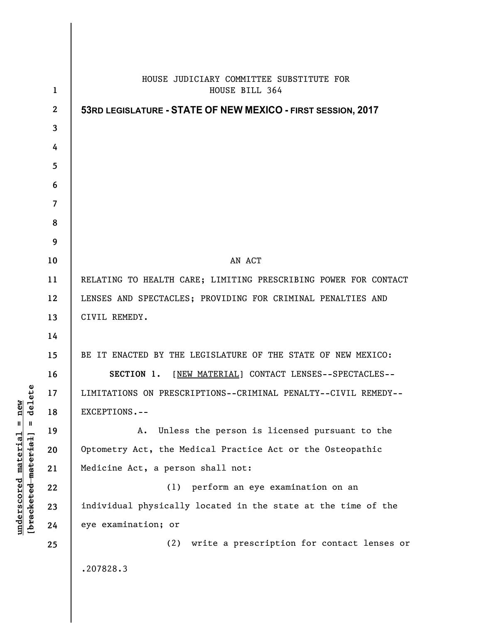|                      |                | HOUSE JUDICIARY COMMITTEE SUBSTITUTE FOR                        |
|----------------------|----------------|-----------------------------------------------------------------|
|                      | 1              | HOUSE BILL 364                                                  |
|                      | $\overline{2}$ | 53RD LEGISLATURE - STATE OF NEW MEXICO - FIRST SESSION, 2017    |
|                      | 3              |                                                                 |
|                      | 4              |                                                                 |
|                      | 5              |                                                                 |
|                      | 6              |                                                                 |
|                      | 7              |                                                                 |
|                      | 8              |                                                                 |
|                      | 9              |                                                                 |
|                      | 10             | AN ACT                                                          |
|                      | 11             | RELATING TO HEALTH CARE; LIMITING PRESCRIBING POWER FOR CONTACT |
|                      | 12             | LENSES AND SPECTACLES; PROVIDING FOR CRIMINAL PENALTIES AND     |
|                      | 13             | CIVIL REMEDY.                                                   |
|                      | 14             |                                                                 |
|                      | 15             | BE IT ENACTED BY THE LEGISLATURE OF THE STATE OF NEW MEXICO:    |
|                      | 16             | [NEW MATERIAL] CONTACT LENSES--SPECTACLES--<br>SECTION 1.       |
| Ě                    | 17             | LIMITATIONS ON PRESCRIPTIONS--CRIMINAL PENALTY--CIVIL REMEDY--  |
| de1                  | 18             | EXCEPTIONS.--                                                   |
| Ш                    | 19             | Unless the person is licensed pursuant to the<br>A.             |
|                      | 20             | Optometry Act, the Medical Practice Act or the Osteopathic      |
| [bracketed-material] | 21             | Medicine Act, a person shall not:                               |
|                      | 22             | perform an eye examination on an<br>(1)                         |
|                      | 23             | individual physically located in the state at the time of the   |
|                      | 24             | eye examination; or                                             |
|                      | 25             | write a prescription for contact lenses or<br>(2)               |
|                      |                | .207828.3                                                       |
|                      |                |                                                                 |

**underscored material = new [bracketed material] = delete**

 $underscored material = new$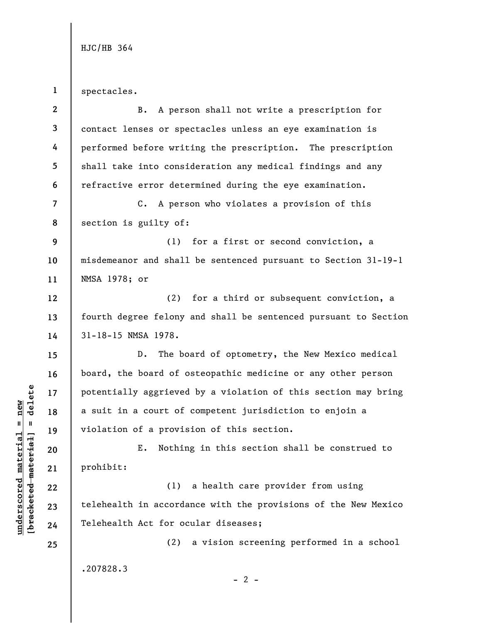HJC/HB 364

**1**  spectacles.

| $\mathbf{2}$             | B. A person shall not write a prescription for                  |
|--------------------------|-----------------------------------------------------------------|
| 3                        | contact lenses or spectacles unless an eye examination is       |
| 4                        | performed before writing the prescription. The prescription     |
| 5                        | shall take into consideration any medical findings and any      |
| 6                        | refractive error determined during the eye examination.         |
| $\overline{\mathcal{L}}$ | C. A person who violates a provision of this                    |
| 8                        | section is guilty of:                                           |
| 9                        | (1) for a first or second conviction, a                         |
| 10                       | misdemeanor and shall be sentenced pursuant to Section 31-19-1  |
| 11                       | NMSA 1978; or                                                   |
| 12                       | (2) for a third or subsequent conviction, a                     |
| 13                       | fourth degree felony and shall be sentenced pursuant to Section |
| 14                       | 31-18-15 NMSA 1978.                                             |
| 15                       | The board of optometry, the New Mexico medical<br>$D$ .         |
| 16                       | board, the board of osteopathic medicine or any other person    |
| 17                       | potentially aggrieved by a violation of this section may bring  |
| 18                       | a suit in a court of competent jurisdiction to enjoin a         |
| 19                       | violation of a provision of this section.                       |
| 20                       | Nothing in this section shall be construed to<br>Ε.             |
| 21                       | prohibit:                                                       |
| 22                       | a health care provider from using<br>(1)                        |
| 23                       | telehealth in accordance with the provisions of the New Mexico  |
| 24                       | Telehealth Act for ocular diseases;                             |
| 25                       | a vision screening performed in a school<br>(2)                 |
|                          | .207828.3<br>- 2 -                                              |

 $\frac{\text{underscored material} = \text{new}}{(\text{bracketed material})}$  =  $\frac{\text{new}}{\text{new}}$ **[bracketed material] = delete underscored material = new**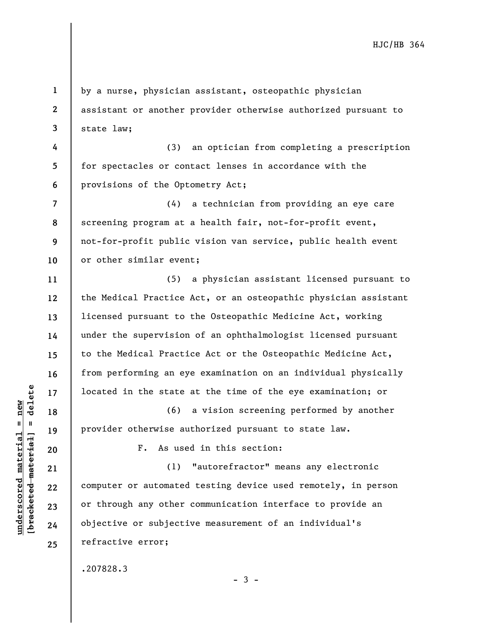by a nurse, physician assistant, osteopathic physician assistant or another provider otherwise authorized pursuant to state law;

**4 5 6**  (3) an optician from completing a prescription for spectacles or contact lenses in accordance with the provisions of the Optometry Act;

**7 8 9 10**  (4) a technician from providing an eye care screening program at a health fair, not-for-profit event, not-for-profit public vision van service, public health event or other similar event;

(5) a physician assistant licensed pursuant to the Medical Practice Act, or an osteopathic physician assistant licensed pursuant to the Osteopathic Medicine Act, working under the supervision of an ophthalmologist licensed pursuant to the Medical Practice Act or the Osteopathic Medicine Act, from performing an eye examination on an individual physically located in the state at the time of the eye examination; or

(6) a vision screening performed by another provider otherwise authorized pursuant to state law.

F. As used in this section:

(1) "autorefractor" means any electronic computer or automated testing device used remotely, in person or through any other communication interface to provide an objective or subjective measurement of an individual's refractive error;

.207828.3

 $\frac{1}{2}$  intereted material = delete **[bracketed material] = delete**  $underscored material = new$ **underscored material = new**

**1** 

**2** 

**3** 

**11** 

**12** 

**13** 

**14** 

**15** 

**16** 

**17** 

**18** 

**19** 

**20** 

**21** 

**22** 

**23** 

**24** 

**25** 

 $-3 -$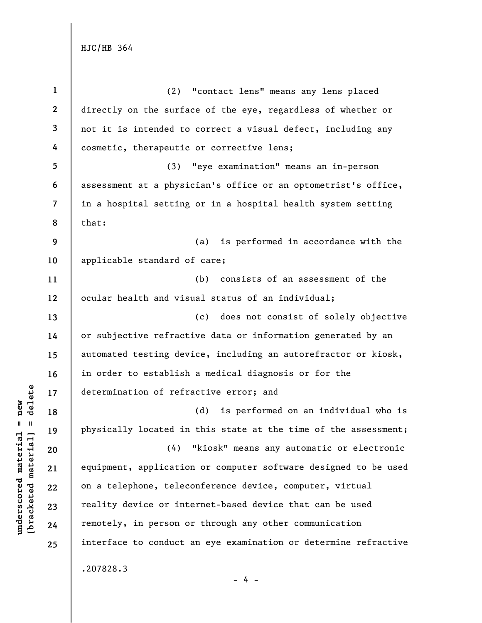HJC/HB 364

| $\mathbf{1}$             | (2) "contact lens" means any lens placed                        |
|--------------------------|-----------------------------------------------------------------|
| $\mathbf{2}$             | directly on the surface of the eye, regardless of whether or    |
| 3                        | not it is intended to correct a visual defect, including any    |
| 4                        | cosmetic, therapeutic or corrective lens;                       |
| 5                        | "eye examination" means an in-person<br>(3)                     |
| 6                        | assessment at a physician's office or an optometrist's office,  |
| $\overline{\mathcal{L}}$ | in a hospital setting or in a hospital health system setting    |
| 8                        | that:                                                           |
| 9                        | (a) is performed in accordance with the                         |
| 10                       | applicable standard of care;                                    |
| 11                       | consists of an assessment of the<br>(b)                         |
| 12                       | ocular health and visual status of an individual;               |
| 13                       | (c) does not consist of solely objective                        |
| 14                       | or subjective refractive data or information generated by an    |
| 15                       | automated testing device, including an autorefractor or kiosk,  |
| 16                       | in order to establish a medical diagnosis or for the            |
| 17                       | determination of refractive error; and                          |
| 18                       | (d)<br>is performed on an individual who is                     |
| 19                       | physically located in this state at the time of the assessment; |
| 20                       | (4) "kiosk" means any automatic or electronic                   |
| 21                       | equipment, application or computer software designed to be used |
| 22                       | on a telephone, teleconference device, computer, virtual        |
| 23                       | reality device or internet-based device that can be used        |
| 24                       | remotely, in person or through any other communication          |
| 25                       | interface to conduct an eye examination or determine refractive |
|                          | .207828.3<br>4 –                                                |

 $\frac{\text{underscored material} = \text{new}}{(\text{bracketed material}) = \text{dev}}$ **[bracketed material] = delete underscored material = new**